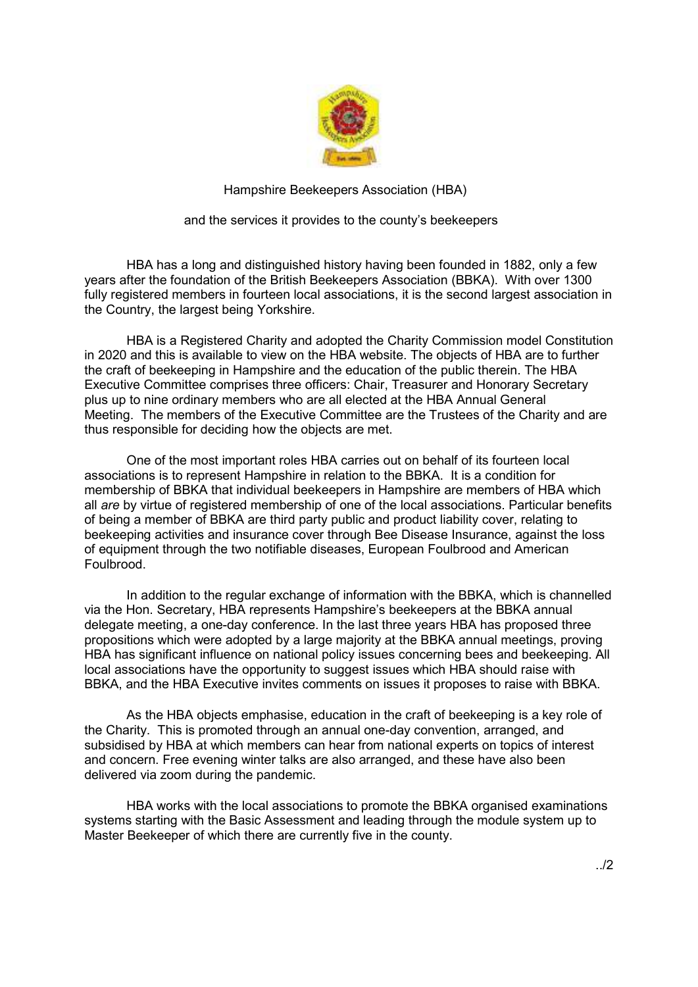

Hampshire Beekeepers Association (HBA)

## and the services it provides to the county's beekeepers

HBA has a long and distinguished history having been founded in 1882, only a few years after the foundation of the British Beekeepers Association (BBKA). With over 1300 fully registered members in fourteen local associations, it is the second largest association in the Country, the largest being Yorkshire.

HBA is a Registered Charity and adopted the Charity Commission model Constitution in 2020 and this is available to view on the HBA website. The objects of HBA are to further the craft of beekeeping in Hampshire and the education of the public therein. The HBA Executive Committee comprises three officers: Chair, Treasurer and Honorary Secretary plus up to nine ordinary members who are all elected at the HBA Annual General Meeting. The members of the Executive Committee are the Trustees of the Charity and are thus responsible for deciding how the objects are met.

One of the most important roles HBA carries out on behalf of its fourteen local associations is to represent Hampshire in relation to the BBKA. It is a condition for membership of BBKA that individual beekeepers in Hampshire are members of HBA which all *are* by virtue of registered membership of one of the local associations. Particular benefits of being a member of BBKA are third party public and product liability cover, relating to beekeeping activities and insurance cover through Bee Disease Insurance, against the loss of equipment through the two notifiable diseases, European Foulbrood and American Foulbrood.

In addition to the regular exchange of information with the BBKA, which is channelled via the Hon. Secretary, HBA represents Hampshire's beekeepers at the BBKA annual delegate meeting, a one-day conference. In the last three years HBA has proposed three propositions which were adopted by a large majority at the BBKA annual meetings, proving HBA has significant influence on national policy issues concerning bees and beekeeping. All local associations have the opportunity to suggest issues which HBA should raise with BBKA, and the HBA Executive invites comments on issues it proposes to raise with BBKA.

As the HBA objects emphasise, education in the craft of beekeeping is a key role of the Charity. This is promoted through an annual one-day convention, arranged, and subsidised by HBA at which members can hear from national experts on topics of interest and concern. Free evening winter talks are also arranged, and these have also been delivered via zoom during the pandemic.

HBA works with the local associations to promote the BBKA organised examinations systems starting with the Basic Assessment and leading through the module system up to Master Beekeeper of which there are currently five in the county.